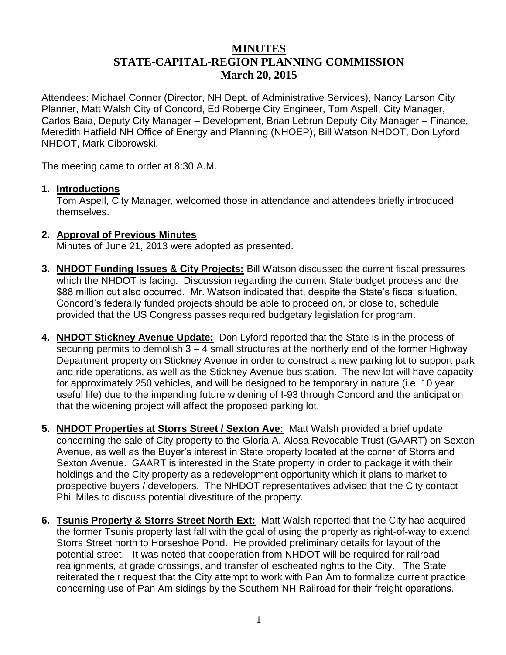## **MINUTES STATE-CAPITAL-REGION PLANNING COMMISSION March 20, 2015**

Attendees: Michael Connor (Director, NH Dept. of Administrative Services), Nancy Larson City Planner, Matt Walsh City of Concord, Ed Roberge City Engineer, Tom Aspell, City Manager, Carlos Baia, Deputy City Manager – Development, Brian Lebrun Deputy City Manager – Finance, Meredith Hatfield NH Office of Energy and Planning (NHOEP), Bill Watson NHDOT, Don Lyford NHDOT, Mark Ciborowski.

The meeting came to order at 8:30 A.M.

## **1. Introductions**

Tom Aspell, City Manager, welcomed those in attendance and attendees briefly introduced themselves.

## **2. Approval of Previous Minutes**

Minutes of June 21, 2013 were adopted as presented.

- **3. NHDOT Funding Issues & City Projects:** Bill Watson discussed the current fiscal pressures which the NHDOT is facing. Discussion regarding the current State budget process and the \$88 million cut also occurred. Mr. Watson indicated that, despite the State's fiscal situation, Concord's federally funded projects should be able to proceed on, or close to, schedule provided that the US Congress passes required budgetary legislation for program.
- **4. NHDOT Stickney Avenue Update:** Don Lyford reported that the State is in the process of securing permits to demolish  $3 - 4$  small structures at the northerly end of the former Highway Department property on Stickney Avenue in order to construct a new parking lot to support park and ride operations, as well as the Stickney Avenue bus station. The new lot will have capacity for approximately 250 vehicles, and will be designed to be temporary in nature (i.e. 10 year useful life) due to the impending future widening of I-93 through Concord and the anticipation that the widening project will affect the proposed parking lot.
- **5. NHDOT Properties at Storrs Street / Sexton Ave:** Matt Walsh provided a brief update concerning the sale of City property to the Gloria A. Alosa Revocable Trust (GAART) on Sexton Avenue, as well as the Buyer's interest in State property located at the corner of Storrs and Sexton Avenue. GAART is interested in the State property in order to package it with their holdings and the City property as a redevelopment opportunity which it plans to market to prospective buyers / developers. The NHDOT representatives advised that the City contact Phil Miles to discuss potential divestiture of the property.
- **6. Tsunis Property & Storrs Street North Ext:** Matt Walsh reported that the City had acquired the former Tsunis property last fall with the goal of using the property as right-of-way to extend Storrs Street north to Horseshoe Pond. He provided preliminary details for layout of the potential street. It was noted that cooperation from NHDOT will be required for railroad realignments, at grade crossings, and transfer of escheated rights to the City. The State reiterated their request that the City attempt to work with Pan Am to formalize current practice concerning use of Pan Am sidings by the Southern NH Railroad for their freight operations.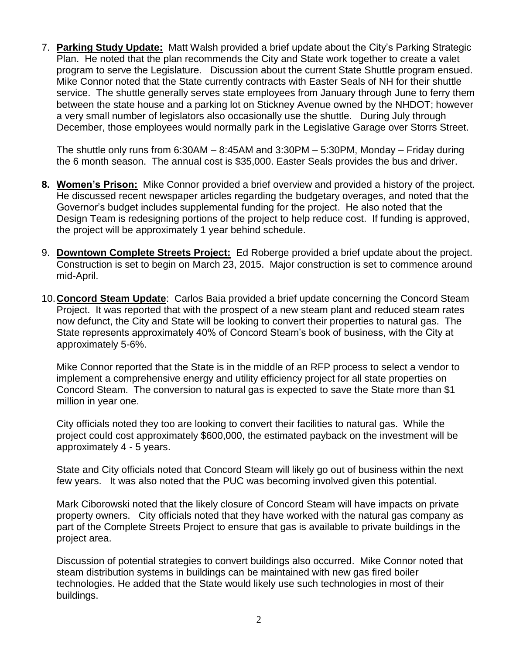7. **Parking Study Update:** Matt Walsh provided a brief update about the City's Parking Strategic Plan. He noted that the plan recommends the City and State work together to create a valet program to serve the Legislature. Discussion about the current State Shuttle program ensued. Mike Connor noted that the State currently contracts with Easter Seals of NH for their shuttle service. The shuttle generally serves state employees from January through June to ferry them between the state house and a parking lot on Stickney Avenue owned by the NHDOT; however a very small number of legislators also occasionally use the shuttle. During July through December, those employees would normally park in the Legislative Garage over Storrs Street.

The shuttle only runs from 6:30AM – 8:45AM and 3:30PM – 5:30PM, Monday – Friday during the 6 month season. The annual cost is \$35,000. Easter Seals provides the bus and driver.

- **8. Women's Prison:** Mike Connor provided a brief overview and provided a history of the project. He discussed recent newspaper articles regarding the budgetary overages, and noted that the Governor's budget includes supplemental funding for the project. He also noted that the Design Team is redesigning portions of the project to help reduce cost. If funding is approved, the project will be approximately 1 year behind schedule.
- 9. **Downtown Complete Streets Project:** Ed Roberge provided a brief update about the project. Construction is set to begin on March 23, 2015. Major construction is set to commence around mid-April.
- 10.**Concord Steam Update**: Carlos Baia provided a brief update concerning the Concord Steam Project. It was reported that with the prospect of a new steam plant and reduced steam rates now defunct, the City and State will be looking to convert their properties to natural gas. The State represents approximately 40% of Concord Steam's book of business, with the City at approximately 5-6%.

Mike Connor reported that the State is in the middle of an RFP process to select a vendor to implement a comprehensive energy and utility efficiency project for all state properties on Concord Steam. The conversion to natural gas is expected to save the State more than \$1 million in year one.

City officials noted they too are looking to convert their facilities to natural gas. While the project could cost approximately \$600,000, the estimated payback on the investment will be approximately 4 - 5 years.

State and City officials noted that Concord Steam will likely go out of business within the next few years. It was also noted that the PUC was becoming involved given this potential.

Mark Ciborowski noted that the likely closure of Concord Steam will have impacts on private property owners. City officials noted that they have worked with the natural gas company as part of the Complete Streets Project to ensure that gas is available to private buildings in the project area.

Discussion of potential strategies to convert buildings also occurred. Mike Connor noted that steam distribution systems in buildings can be maintained with new gas fired boiler technologies. He added that the State would likely use such technologies in most of their buildings.